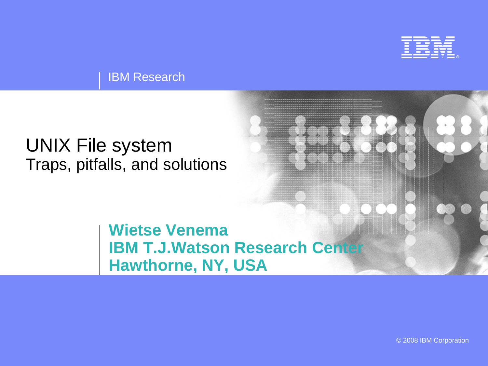

IBM Research

#### UNIX File system Traps, pitfalls, and solutions

#### **Wietse Venema IBM T.J.Watson Research Center Hawthorne, NY, USA**

© 2008 IBM Corporation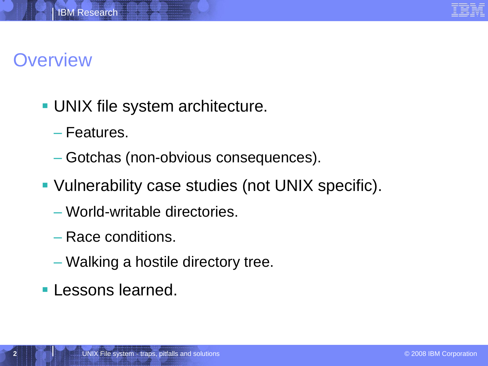

## **Overview**

- **UNIX file system architecture.** 
	- Features.
	- Gotchas (non-obvious consequences).
- Vulnerability case studies (not UNIX specific).
	- World-writable directories.
	- Race conditions.
	- Walking a hostile directory tree.
- **Lessons learned.**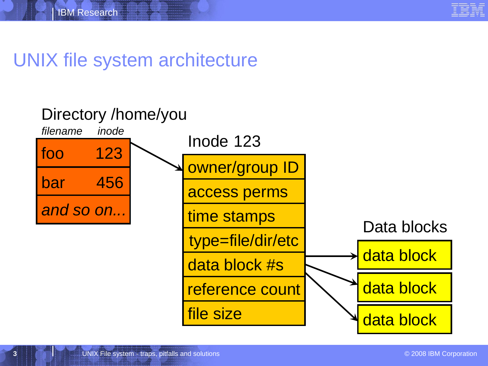

#### UNIX file system architecture

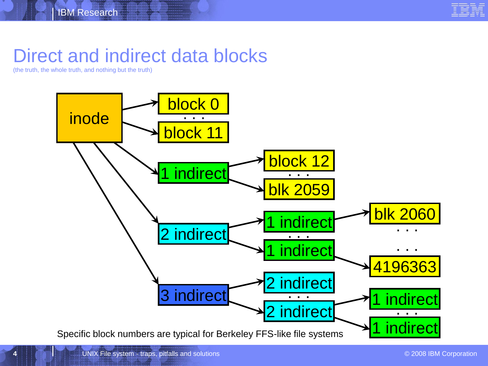

#### Direct and indirect data blocks

(the truth, the whole truth, and nothing but the truth)

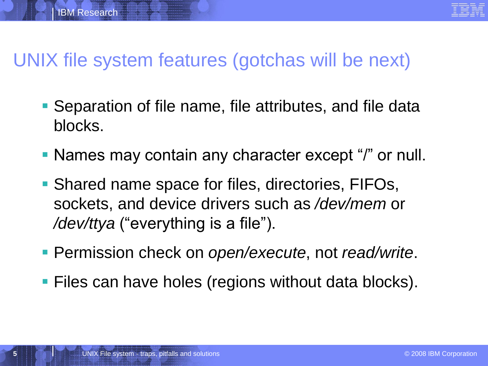### UNIX file system features (gotchas will be next)

- Separation of file name, file attributes, and file data blocks.
- Names may contain any character except "/" or null.
- Shared name space for files, directories, FIFOs, sockets, and device drivers such as */dev/mem* or */dev/ttya* ("everything is a file").
- Permission check on *open/execute*, not *read/write*.
- **Files can have holes (regions without data blocks).**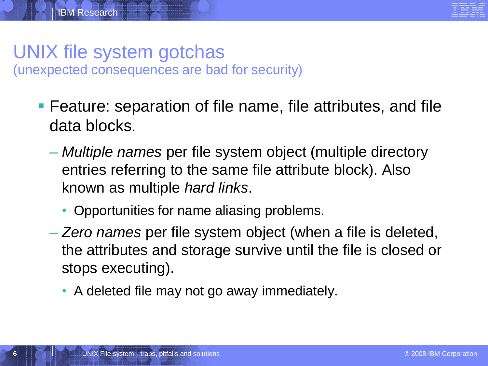#### UNIX file system gotchas (unexpected consequences are bad for security)

- Feature: separation of file name, file attributes, and file data blocks.
	- *Multiple names* per file system object (multiple directory entries referring to the same file attribute block). Also known as multiple *hard links*.
		- Opportunities for name aliasing problems.
	- *Zero names* per file system object (when a file is deleted, the attributes and storage survive until the file is closed or stops executing).
		- A deleted file may not go away immediately.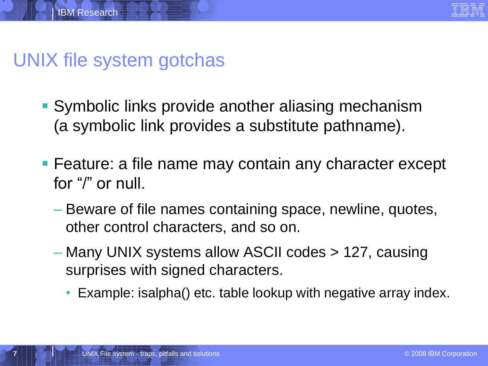

#### UNIX file system gotchas

- Symbolic links provide another aliasing mechanism (a symbolic link provides a substitute pathname).
- **Feature: a file name may contain any character except** for "/" or null.
	- Beware of file names containing space, newline, quotes, other control characters, and so on.
	- Many UNIX systems allow ASCII codes > 127, causing surprises with signed characters.
		- Example: isalpha() etc. table lookup with negative array index.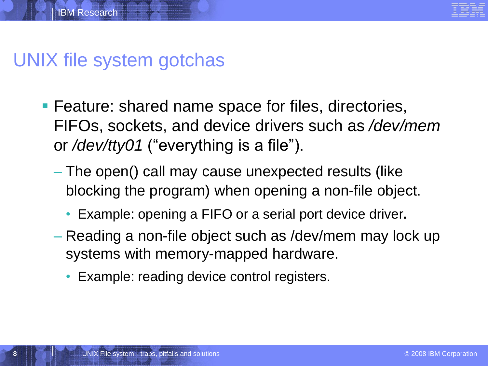

#### UNIX file system gotchas

- **Feature: shared name space for files, directories,** FIFOs, sockets, and device drivers such as */dev/mem* or */dev/tty01* ("everything is a file").
	- The open() call may cause unexpected results (like blocking the program) when opening a non-file object.
		- Example: opening a FIFO or a serial port device driver**.**
	- Reading a non-file object such as /dev/mem may lock up systems with memory-mapped hardware.
		- Example: reading device control registers.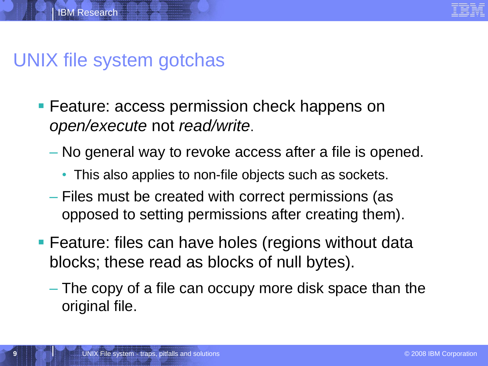

#### UNIX file system gotchas

- **Feature: access permission check happens on** *open/execute* not *read/write*.
	- No general way to revoke access after a file is opened.
		- This also applies to non-file objects such as sockets.
	- Files must be created with correct permissions (as opposed to setting permissions after creating them).
- **Feature: files can have holes (regions without data** blocks; these read as blocks of null bytes).
	- The copy of a file can occupy more disk space than the original file.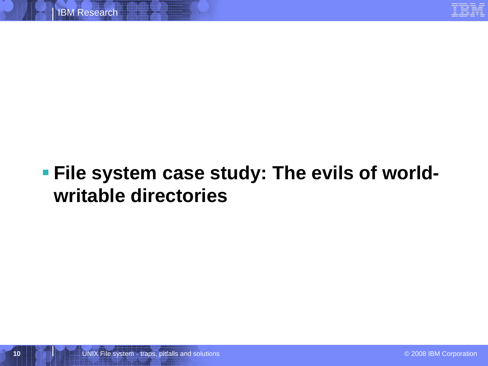

# **File system case study: The evils of worldwritable directories**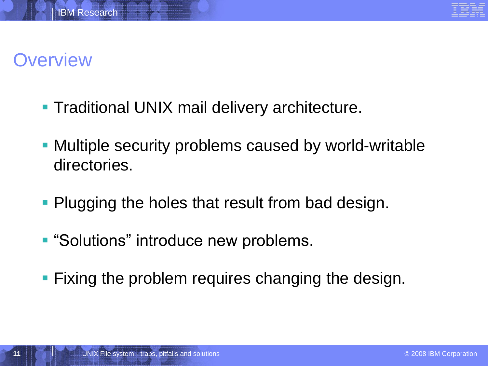# **Overview**

- **Traditional UNIX mail delivery architecture.**
- Multiple security problems caused by world-writable directories.
- **Plugging the holes that result from bad design.**
- **"Solutions" introduce new problems.**
- **Fixing the problem requires changing the design.**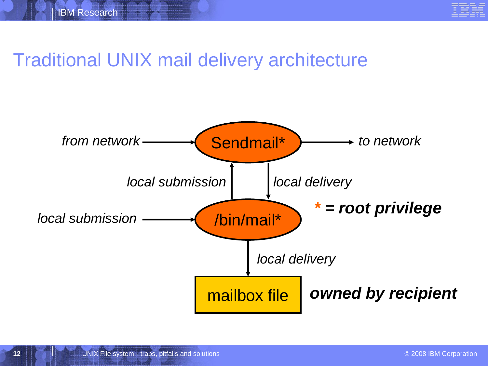

## Traditional UNIX mail delivery architecture

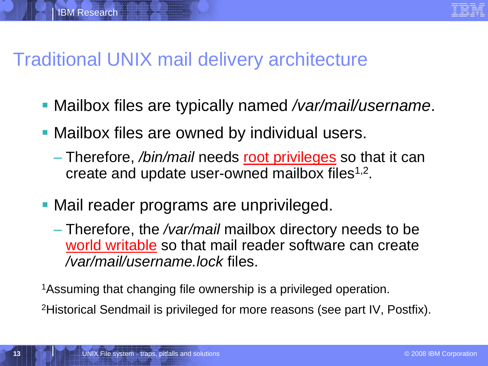#### Traditional UNIX mail delivery architecture

IBM Research

- Mailbox files are typically named */var/mail/username*.
- **Mailbox files are owned by individual users.** 
	- Therefore, */bin/mail* needs root privileges so that it can create and update user-owned mailbox files $1,2$ .
- Mail reader programs are unprivileged.
	- Therefore, the */var/mail* mailbox directory needs to be world writable so that mail reader software can create */var/mail/username.lock* files.

<sup>1</sup>Assuming that changing file ownership is a privileged operation.

2Historical Sendmail is privileged for more reasons (see part IV, Postfix).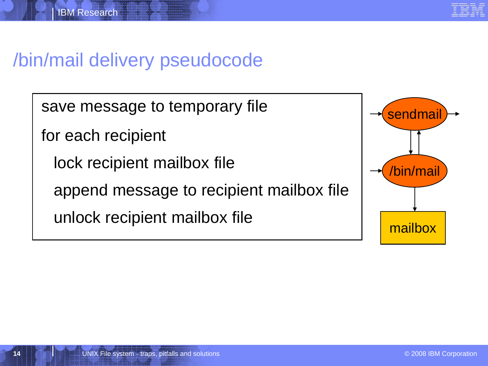

## /bin/mail delivery pseudocode

save message to temporary file

for each recipient

lock recipient mailbox file

append message to recipient mailbox file

unlock recipient mailbox file

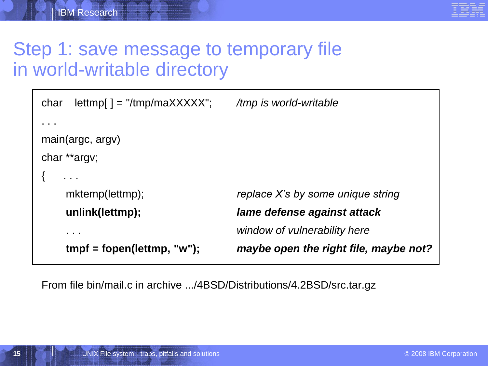

## Step 1: save message to temporary file in world-writable directory

```
char lettmp[ ] = "/tmp/maXXXXX"; /tmp is world-writable
. . .
main(argc, argv)
char **argv;
\{ \qquad \dots \qquadmktemp(lettmp); replace X's by some unique string
    unlink(lettmp); lame defense against attack
    . . . window of vulnerability here
    tmpf = fopen(lettmp, "w"); maybe open the right file, maybe not?
```
From file bin/mail.c in archive .../4BSD/Distributions/4.2BSD/src.tar.gz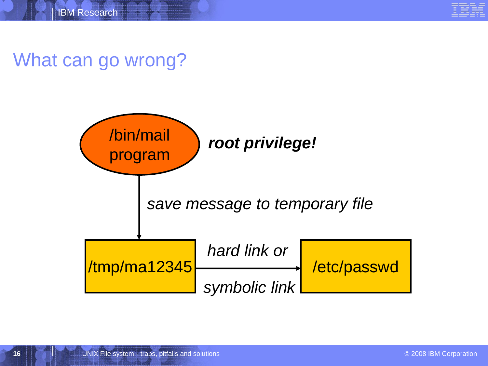

#### What can go wrong?

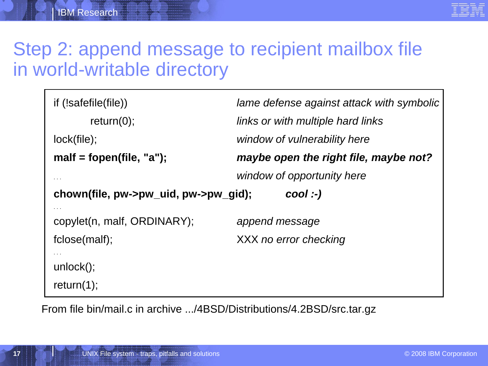

#### Step 2: append message to recipient mailbox file in world-writable directory

| if (!safefile(file))                              | lame defense against attack with symbolic |
|---------------------------------------------------|-------------------------------------------|
| return(0);                                        | links or with multiple hard links         |
| lock(file);                                       | window of vulnerability here              |
| malf = fopen(file, "a");                          | maybe open the right file, maybe not?     |
| $\sim$ $\sim$ $\sim$                              | window of opportunity here                |
| chown(file, pw->pw_uid, pw->pw_gid);<br>$cool:$ ) |                                           |
| copylet(n, malf, ORDINARY);                       | append message                            |
| fclose(malf);                                     | XXX no error checking                     |
|                                                   |                                           |
| $unlock()$ ;                                      |                                           |

From file bin/mail.c in archive .../4BSD/Distributions/4.2BSD/src.tar.gz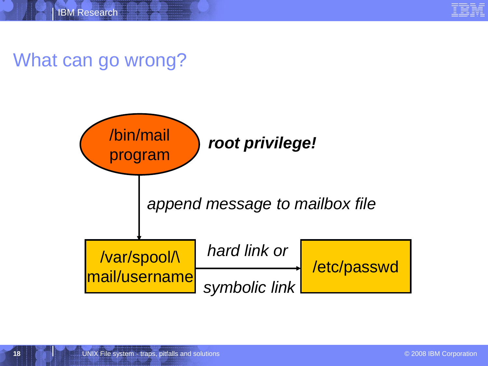

#### What can go wrong?

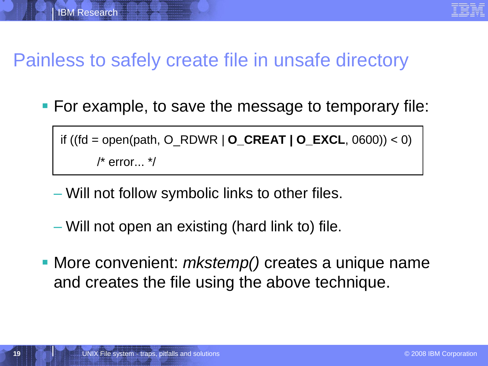# Painless to safely create file in unsafe directory

**For example, to save the message to temporary file:** 

if ((fd = open(path, O\_RDWR | **O\_CREAT | O\_EXCL**, 0600)) < 0)  $/*$  error...  $*/$ 

- Will not follow symbolic links to other files.
- Will not open an existing (hard link to) file.
- More convenient: *mkstemp()* creates a unique name and creates the file using the above technique.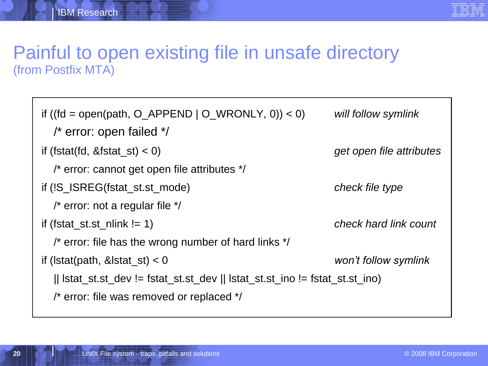

#### Painful to open existing file in unsafe directory (from Postfix MTA)

```
if ((fd = open(path, O_APPEND | O_WRONLY, 0)) < 0) will follow symlink
  /* error: open failed */
if (fstat(fd, &fstat_st) < 0) get open file attributes
  /* error: cannot get open file attributes */
if (!S_ISREG(fstat_st.st_mode) check file type
  /* error: not a regular file */
if (fstat_st.st_nlink != 1) check hard link count
  /* error: file has the wrong number of hard links */
if (lstat(path, &lstat_st) < 0 won't follow symlink
  || \text{listat}\_st.st\_dev != fstat_st.st_dev || \text{listat}\_st.st\_ino != fstat_st.st_ino)
  /* error: file was removed or replaced */
```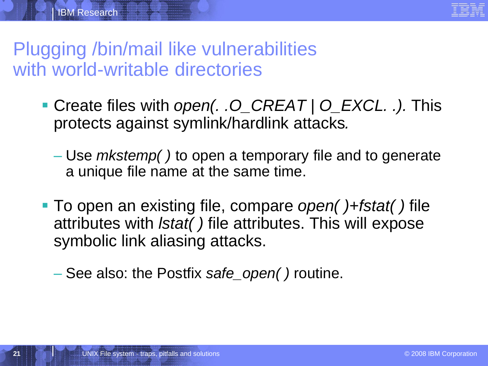# Plugging /bin/mail like vulnerabilities with world-writable directories

- Create files with *open(. .O\_CREAT | O\_EXCL. .).* This protects against symlink/hardlink attacks*.*
	- Use *mkstemp( )* to open a temporary file and to generate a unique file name at the same time.
- To open an existing file, compare *open( )*+*fstat( )* file attributes with *lstat( )* file attributes. This will expose symbolic link aliasing attacks.
	- See also: the Postfix *safe\_open( )* routine.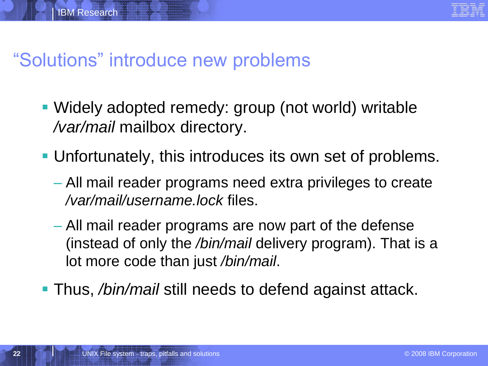## "Solutions" introduce new problems

- Widely adopted remedy: group (not world) writable */var/mail* mailbox directory.
- Unfortunately, this introduces its own set of problems.
	- All mail reader programs need extra privileges to create */var/mail/username.lock* files.
	- All mail reader programs are now part of the defense (instead of only the */bin/mail* delivery program). That is a lot more code than just */bin/mail*.
- Thus, */bin/mail* still needs to defend against attack.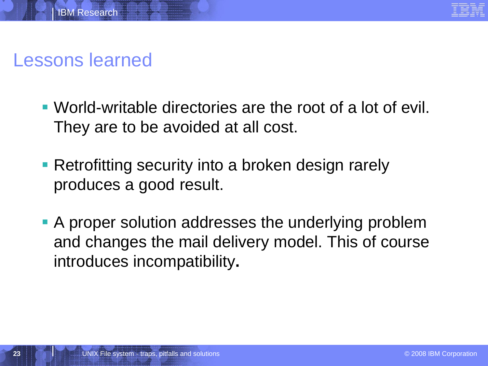

### Lessons learned

- World-writable directories are the root of a lot of evil. They are to be avoided at all cost.
- **Retrofitting security into a broken design rarely** produces a good result.
- A proper solution addresses the underlying problem and changes the mail delivery model. This of course introduces incompatibility**.**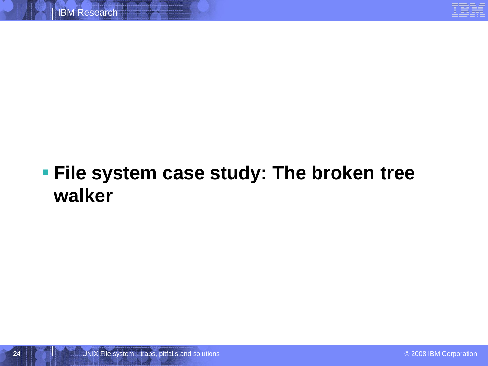

# **File system case study: The broken tree walker**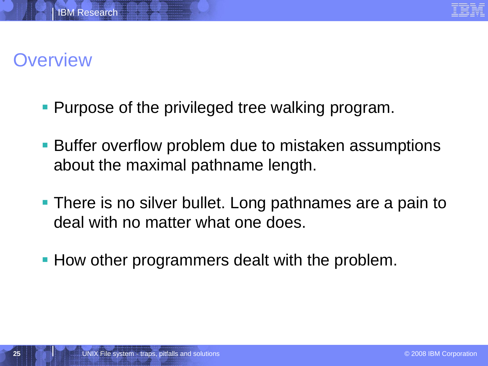

## **Overview**

- **Purpose of the privileged tree walking program.**
- **Buffer overflow problem due to mistaken assumptions** about the maximal pathname length.
- **There is no silver bullet. Long pathnames are a pain to** deal with no matter what one does.
- **How other programmers dealt with the problem.**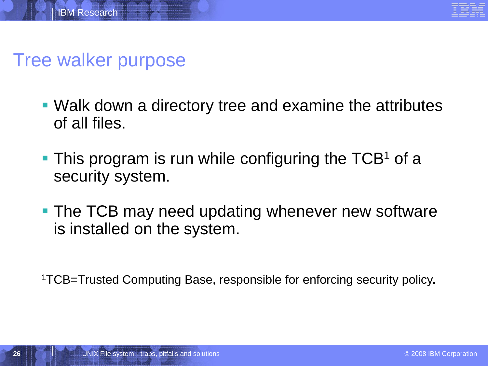

#### Tree walker purpose

- Walk down a directory tree and examine the attributes of all files.
- $\blacksquare$  This program is run while configuring the TCB<sup>1</sup> of a security system.
- **The TCB may need updating whenever new software** is installed on the system.

1TCB=Trusted Computing Base, responsible for enforcing security policy**.**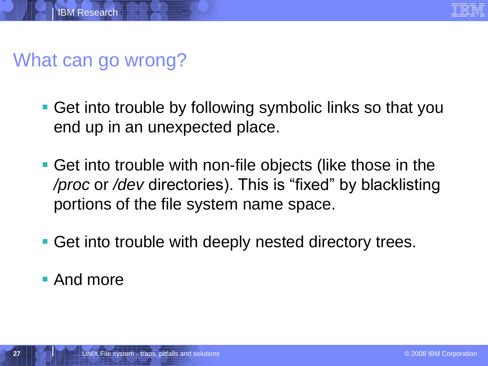



#### What can go wrong?

- **Get into trouble by following symbolic links so that you** end up in an unexpected place.
- Get into trouble with non-file objects (like those in the */proc* or */dev* directories). This is "fixed" by blacklisting portions of the file system name space.
- Get into trouble with deeply nested directory trees.

**And more**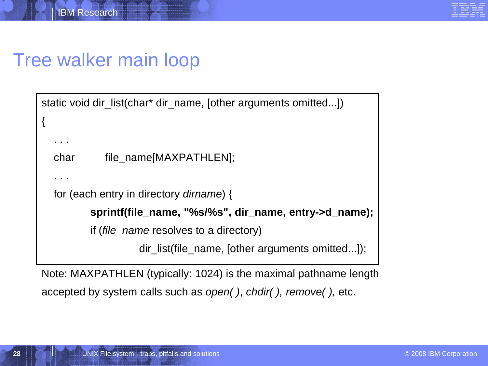#### Tree walker main loop

```
static void dir_list(char* dir_name, [other arguments omitted...])
{
  . . .
  char file_name[MAXPATHLEN];
  . . .
  for (each entry in directory dirname) {
          sprintf(file_name, "%s/%s", dir_name, entry->d_name);
          if (file_name resolves to a directory)
```
dir list(file name, [other arguments omitted...]);

Note: MAXPATHLEN (typically: 1024) is the maximal pathname length accepted by system calls such as *open( )*, *chdir( ), remove( ),* etc.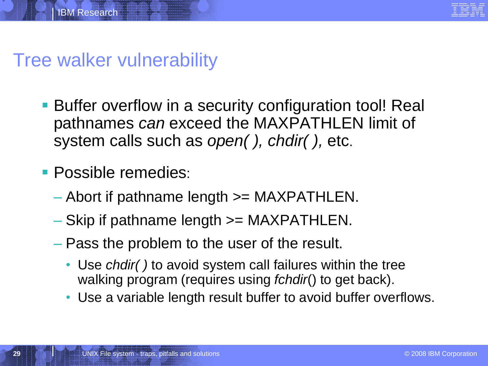

#### Tree walker vulnerability

- **Buffer overflow in a security configuration tool! Real** pathnames *can* exceed the MAXPATHLEN limit of system calls such as *open( ), chdir( ),* etc.
- **Possible remedies:** 
	- Abort if pathname length >= MAXPATHLEN.
	- Skip if pathname length >= MAXPATHLEN.
	- Pass the problem to the user of the result.
		- Use *chdir( )* to avoid system call failures within the tree walking program (requires using *fchdir*() to get back).
		- Use a variable length result buffer to avoid buffer overflows.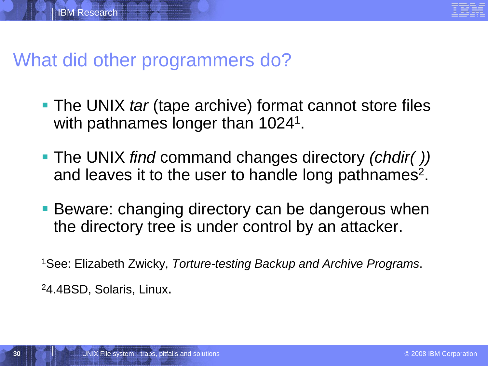

#### What did other programmers do?

- The UNIX *tar* (tape archive) format cannot store files with pathnames longer than 1024<sup>1</sup>.
- The UNIX *find* command changes directory *(chdir( ))* and leaves it to the user to handle long pathnames<sup>2</sup>.
- **Beware: changing directory can be dangerous when** the directory tree is under control by an attacker.

<sup>1</sup>See: Elizabeth Zwicky, *Torture-testing Backup and Archive Programs*.

24.4BSD, Solaris, Linux.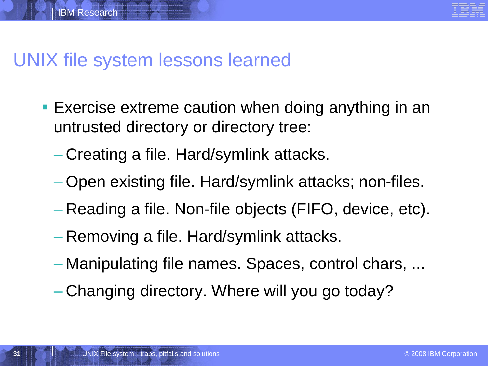#### UNIX file system lessons learned

- Exercise extreme caution when doing anything in an untrusted directory or directory tree:
	- Creating a file. Hard/symlink attacks.
	- Open existing file. Hard/symlink attacks; non-files.
	- Reading a file. Non-file objects (FIFO, device, etc).
	- Removing a file. Hard/symlink attacks.
	- Manipulating file names. Spaces, control chars, ...
	- Changing directory. Where will you go today?